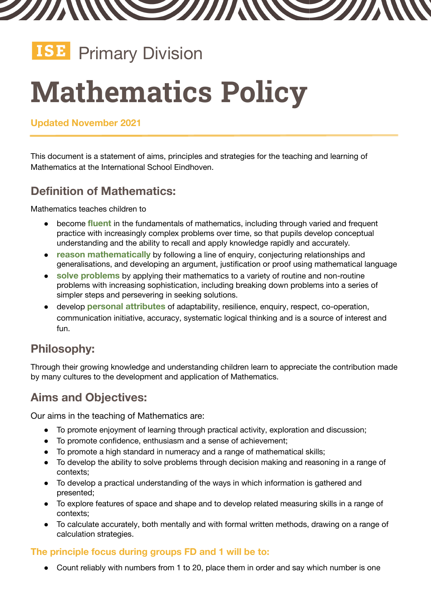



# **Mathematics Policy**

#### **Updated November 2021**

This document is a statement of aims, principles and strategies for the teaching and learning of Mathematics at the International School Eindhoven.

## **Definition of Mathematics:**

Mathematics teaches children to

- become **fluent** in the fundamentals of mathematics, including through varied and frequent practice with increasingly complex problems over time, so that pupils develop conceptual understanding and the ability to recall and apply knowledge rapidly and accurately.
- **reason mathematically** by following a line of enquiry, conjecturing relationships and generalisations, and developing an argument, justification or proof using mathematical language
- **solve problems** by applying their mathematics to a variety of routine and non-routine problems with increasing sophistication, including breaking down problems into a series of simpler steps and persevering in seeking solutions.
- develop **personal attributes** of adaptability, resilience, enquiry, respect, co-operation, communication initiative, accuracy, systematic logical thinking and is a source of interest and fun.

## **Philosophy:**

Through their growing knowledge and understanding children learn to appreciate the contribution made by many cultures to the development and application of Mathematics.

## **Aims and Objectives:**

Our aims in the teaching of Mathematics are:

- To promote enjoyment of learning through practical activity, exploration and discussion;
- To promote confidence, enthusiasm and a sense of achievement;
- To promote a high standard in numeracy and a range of mathematical skills;
- To develop the ability to solve problems through decision making and reasoning in a range of contexts;
- To develop a practical understanding of the ways in which information is gathered and presented;
- To explore features of space and shape and to develop related measuring skills in a range of contexts;
- To calculate accurately, both mentally and with formal written methods, drawing on a range of calculation strategies.

#### **The principle focus during groups FD and 1 will be to:**

● Count reliably with numbers from 1 to 20, place them in order and say which number is one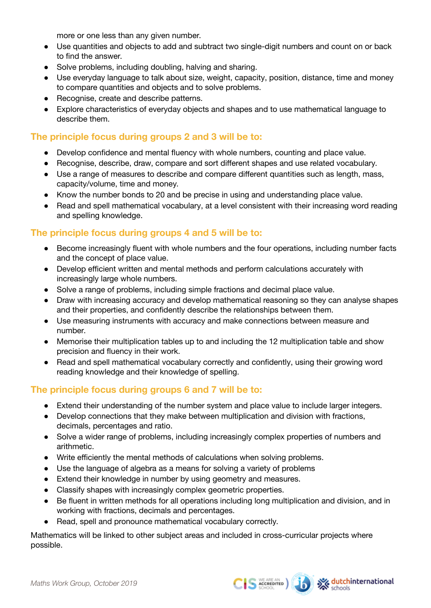more or one less than any given number.

- Use quantities and objects to add and subtract two single-digit numbers and count on or back to find the answer.
- Solve problems, including doubling, halving and sharing.
- Use everyday language to talk about size, weight, capacity, position, distance, time and money to compare quantities and objects and to solve problems.
- Recognise, create and describe patterns.
- Explore characteristics of everyday objects and shapes and to use mathematical language to describe them.

#### **The principle focus during groups 2 and 3 will be to:**

- Develop confidence and mental fluency with whole numbers, counting and place value.
- Recognise, describe, draw, compare and sort different shapes and use related vocabulary.
- Use a range of measures to describe and compare different quantities such as length, mass, capacity/volume, time and money.
- Know the number bonds to 20 and be precise in using and understanding place value.
- Read and spell mathematical vocabulary, at a level consistent with their increasing word reading and spelling knowledge.

#### **The principle focus during groups 4 and 5 will be to:**

- Become increasingly fluent with whole numbers and the four operations, including number facts and the concept of place value.
- Develop efficient written and mental methods and perform calculations accurately with increasingly large whole numbers.
- Solve a range of problems, including simple fractions and decimal place value.
- Draw with increasing accuracy and develop mathematical reasoning so they can analyse shapes and their properties, and confidently describe the relationships between them.
- Use measuring instruments with accuracy and make connections between measure and number.
- Memorise their multiplication tables up to and including the 12 multiplication table and show precision and fluency in their work.
- Read and spell mathematical vocabulary correctly and confidently, using their growing word reading knowledge and their knowledge of spelling.

#### **The principle focus during groups 6 and 7 will be to:**

- Extend their understanding of the number system and place value to include larger integers.
- Develop connections that they make between multiplication and division with fractions, decimals, percentages and ratio.
- Solve a wider range of problems, including increasingly complex properties of numbers and arithmetic.
- Write efficiently the mental methods of calculations when solving problems.
- Use the language of algebra as a means for solving a variety of problems
- Extend their knowledge in number by using geometry and measures.
- Classify shapes with increasingly complex geometric properties.
- Be fluent in written methods for all operations including long multiplication and division, and in working with fractions, decimals and percentages.
- Read, spell and pronounce mathematical vocabulary correctly.

Mathematics will be linked to other subject areas and included in cross-curricular projects where possible.

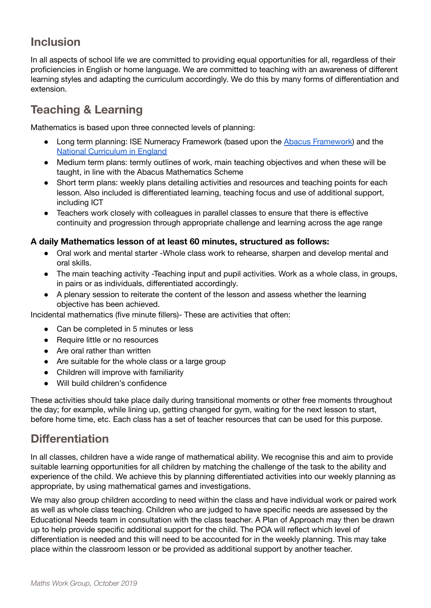## **Inclusion**

In all aspects of school life we are committed to providing equal opportunities for all, regardless of their proficiencies in English or home language. We are committed to teaching with an awareness of different learning styles and adapting the curriculum accordingly. We do this by many forms of differentiation and extension.

# **Teaching & Learning**

Mathematics is based upon three connected levels of planning:

- Long term planning: ISE Numeracy [Framework](https://www.activelearnprimary.co.uk/login?c=0) (based upon the Abacus Framework) and the National [Curriculum](https://assets.publishing.service.gov.uk/government/uploads/system/uploads/attachment_data/file/335158/PRIMARY_national_curriculum_-_Mathematics_220714.pdf) in England
- Medium term plans: termly outlines of work, main teaching objectives and when these will be taught, in line with the Abacus Mathematics Scheme
- Short term plans: weekly plans detailing activities and resources and teaching points for each lesson. Also included is differentiated learning, teaching focus and use of additional support, including ICT
- Teachers work closely with colleagues in parallel classes to ensure that there is effective continuity and progression through appropriate challenge and learning across the age range

#### **A daily Mathematics lesson of at least 60 minutes, structured as follows:**

- Oral work and mental starter -Whole class work to rehearse, sharpen and develop mental and oral skills.
- The main teaching activity -Teaching input and pupil activities. Work as a whole class, in groups, in pairs or as individuals, differentiated accordingly.
- A plenary session to reiterate the content of the lesson and assess whether the learning objective has been achieved.

Incidental mathematics (five minute fillers)- These are activities that often:

- Can be completed in 5 minutes or less
- Require little or no resources
- Are oral rather than written
- Are suitable for the whole class or a large group
- Children will improve with familiarity
- Will build children's confidence

These activities should take place daily during transitional moments or other free moments throughout the day; for example, while lining up, getting changed for gym, waiting for the next lesson to start, before home time, etc. Each class has a set of teacher resources that can be used for this purpose.

## **Differentiation**

In all classes, children have a wide range of mathematical ability. We recognise this and aim to provide suitable learning opportunities for all children by matching the challenge of the task to the ability and experience of the child. We achieve this by planning differentiated activities into our weekly planning as appropriate, by using mathematical games and investigations.

We may also group children according to need within the class and have individual work or paired work as well as whole class teaching. Children who are judged to have specific needs are assessed by the Educational Needs team in consultation with the class teacher. A Plan of Approach may then be drawn up to help provide specific additional support for the child. The POA will reflect which level of differentiation is needed and this will need to be accounted for in the weekly planning. This may take place within the classroom lesson or be provided as additional support by another teacher.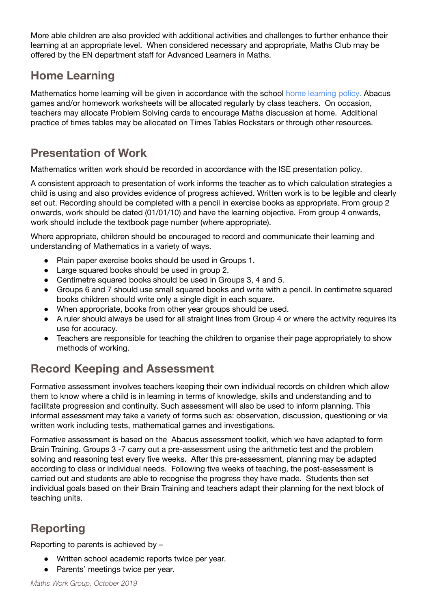More able children are also provided with additional activities and challenges to further enhance their learning at an appropriate level. When considered necessary and appropriate, Maths Club may be offered by the EN department staff for Advanced Learners in Maths.

# **Home Learning**

Mathematics home learning will be given in accordance with the school home [learning](https://docs.google.com/document/d/1QaCYFQT6-Ik23IOgkAtFCzOD5w82B_Zw3joJQpwenOQ/edit) policy. Abacus games and/or homework worksheets will be allocated regularly by class teachers. On occasion, teachers may allocate Problem Solving cards to encourage Maths discussion at home. Additional practice of times tables may be allocated on Times Tables Rockstars or through other resources.

## **Presentation of Work**

Mathematics written work should be recorded in accordance with the ISE presentation policy.

A consistent approach to presentation of work informs the teacher as to which calculation strategies a child is using and also provides evidence of progress achieved. Written work is to be legible and clearly set out. Recording should be completed with a pencil in exercise books as appropriate. From group 2 onwards, work should be dated (01/01/10) and have the learning objective. From group 4 onwards, work should include the textbook page number (where appropriate).

Where appropriate, children should be encouraged to record and communicate their learning and understanding of Mathematics in a variety of ways.

- Plain paper exercise books should be used in Groups 1.
- Large squared books should be used in group 2.
- Centimetre squared books should be used in Groups 3, 4 and 5.
- Groups 6 and 7 should use small squared books and write with a pencil. In centimetre squared books children should write only a single digit in each square.
- When appropriate, books from other year groups should be used.
- A ruler should always be used for all straight lines from Group 4 or where the activity requires its use for accuracy.
- Teachers are responsible for teaching the children to organise their page appropriately to show methods of working.

## **Record Keeping and Assessment**

Formative assessment involves teachers keeping their own individual records on children which allow them to know where a child is in learning in terms of knowledge, skills and understanding and to facilitate progression and continuity. Such assessment will also be used to inform planning. This informal assessment may take a variety of forms such as: observation, discussion, questioning or via written work including tests, mathematical games and investigations.

Formative assessment is based on the Abacus assessment toolkit, which we have adapted to form Brain Training. Groups 3 -7 carry out a pre-assessment using the arithmetic test and the problem solving and reasoning test every five weeks. After this pre-assessment, planning may be adapted according to class or individual needs. Following five weeks of teaching, the post-assessment is carried out and students are able to recognise the progress they have made. Students then set individual goals based on their Brain Training and teachers adapt their planning for the next block of teaching units.

# **Reporting**

Reporting to parents is achieved by –

- Written school academic reports twice per year.
- Parents' meetings twice per year.